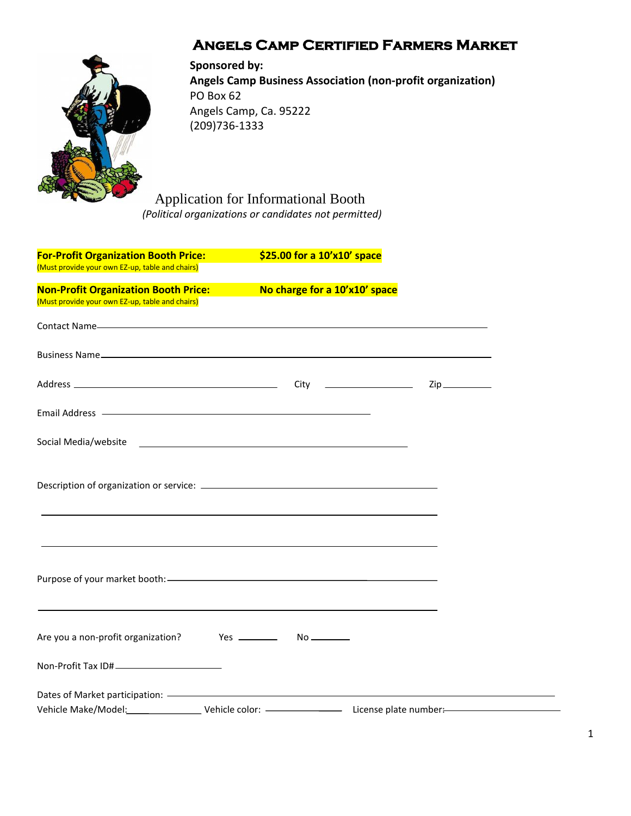# **Angels Camp Certified Farmers Market**



**Sponsored by: Angels Camp Business Association (non-profit organization)** PO Box 62 Angels Camp, Ca. 95222 (209)736-1333

Application for Informational Booth  *(Political organizations or candidates not permitted)*

| <b>For-Profit Organization Booth Price:</b>                                                                                                                                                                                    | \$25.00 for a 10'x10' space                                                      |  |
|--------------------------------------------------------------------------------------------------------------------------------------------------------------------------------------------------------------------------------|----------------------------------------------------------------------------------|--|
| (Must provide your own EZ-up, table and chairs)                                                                                                                                                                                |                                                                                  |  |
| <b>Non-Profit Organization Booth Price:</b><br>(Must provide your own EZ-up, table and chairs)                                                                                                                                 | No charge for a 10'x10' space                                                    |  |
|                                                                                                                                                                                                                                |                                                                                  |  |
|                                                                                                                                                                                                                                |                                                                                  |  |
|                                                                                                                                                                                                                                |                                                                                  |  |
| Email Address - The Committee of the Committee of the Committee of the Committee of the Committee of the Committee of the Committee of the Committee of the Committee of the Committee of the Committee of the Committee of th |                                                                                  |  |
|                                                                                                                                                                                                                                |                                                                                  |  |
|                                                                                                                                                                                                                                |                                                                                  |  |
|                                                                                                                                                                                                                                | ,我们也不会有什么。""我们的人,我们也不会有什么?""我们的人,我们也不会有什么?""我们的人,我们也不会有什么?""我们的人,我们也不会有什么?""我们的人 |  |
|                                                                                                                                                                                                                                |                                                                                  |  |
|                                                                                                                                                                                                                                |                                                                                  |  |
|                                                                                                                                                                                                                                |                                                                                  |  |
|                                                                                                                                                                                                                                |                                                                                  |  |
|                                                                                                                                                                                                                                |                                                                                  |  |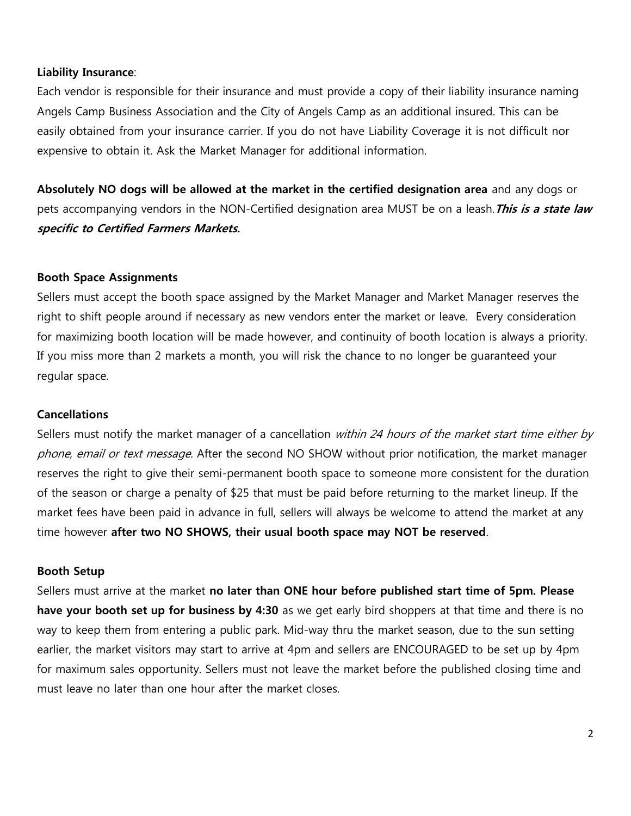### **Liability Insurance**:

Each vendor is responsible for their insurance and must provide a copy of their liability insurance naming Angels Camp Business Association and the City of Angels Camp as an additional insured. This can be easily obtained from your insurance carrier. If you do not have Liability Coverage it is not difficult nor expensive to obtain it. Ask the Market Manager for additional information.

**Absolutely NO dogs will be allowed at the market in the certified designation area** and any dogs or pets accompanying vendors in the NON-Certified designation area MUST be on a leash.**This is a state law specific to Certified Farmers Markets.** 

### **Booth Space Assignments**

Sellers must accept the booth space assigned by the Market Manager and Market Manager reserves the right to shift people around if necessary as new vendors enter the market or leave. Every consideration for maximizing booth location will be made however, and continuity of booth location is always a priority. If you miss more than 2 markets a month, you will risk the chance to no longer be guaranteed your regular space.

#### **Cancellations**

Sellers must notify the market manager of a cancellation within 24 hours of the market start time either by phone, email or text message. After the second NO SHOW without prior notification, the market manager reserves the right to give their semi-permanent booth space to someone more consistent for the duration of the season or charge a penalty of \$25 that must be paid before returning to the market lineup. If the market fees have been paid in advance in full, sellers will always be welcome to attend the market at any time however **after two NO SHOWS, their usual booth space may NOT be reserved**.

#### **Booth Setup**

Sellers must arrive at the market **no later than ONE hour before published start time of 5pm. Please have your booth set up for business by 4:30** as we get early bird shoppers at that time and there is no way to keep them from entering a public park. Mid-way thru the market season, due to the sun setting earlier, the market visitors may start to arrive at 4pm and sellers are ENCOURAGED to be set up by 4pm for maximum sales opportunity. Sellers must not leave the market before the published closing time and must leave no later than one hour after the market closes.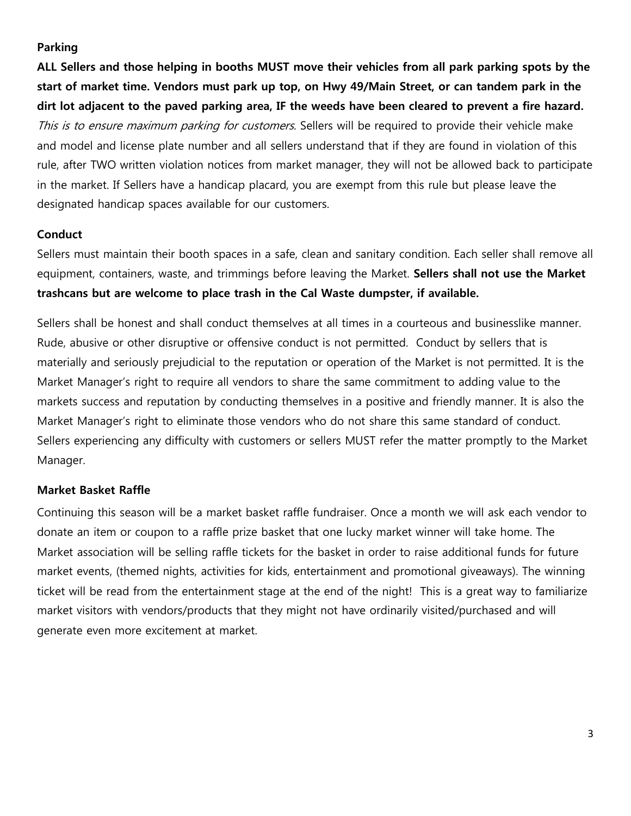### **Parking**

**ALL Sellers and those helping in booths MUST move their vehicles from all park parking spots by the start of market time. Vendors must park up top, on Hwy 49/Main Street, or can tandem park in the dirt lot adjacent to the paved parking area, IF the weeds have been cleared to prevent a fire hazard.**  This is to ensure maximum parking for customers. Sellers will be required to provide their vehicle make and model and license plate number and all sellers understand that if they are found in violation of this rule, after TWO written violation notices from market manager, they will not be allowed back to participate in the market. If Sellers have a handicap placard, you are exempt from this rule but please leave the designated handicap spaces available for our customers.

## **Conduct**

Sellers must maintain their booth spaces in a safe, clean and sanitary condition. Each seller shall remove all equipment, containers, waste, and trimmings before leaving the Market. **Sellers shall not use the Market trashcans but are welcome to place trash in the Cal Waste dumpster, if available.**

Sellers shall be honest and shall conduct themselves at all times in a courteous and businesslike manner. Rude, abusive or other disruptive or offensive conduct is not permitted. Conduct by sellers that is materially and seriously prejudicial to the reputation or operation of the Market is not permitted. It is the Market Manager's right to require all vendors to share the same commitment to adding value to the markets success and reputation by conducting themselves in a positive and friendly manner. It is also the Market Manager's right to eliminate those vendors who do not share this same standard of conduct. Sellers experiencing any difficulty with customers or sellers MUST refer the matter promptly to the Market Manager.

## **Market Basket Raffle**

Continuing this season will be a market basket raffle fundraiser. Once a month we will ask each vendor to donate an item or coupon to a raffle prize basket that one lucky market winner will take home. The Market association will be selling raffle tickets for the basket in order to raise additional funds for future market events, (themed nights, activities for kids, entertainment and promotional giveaways). The winning ticket will be read from the entertainment stage at the end of the night! This is a great way to familiarize market visitors with vendors/products that they might not have ordinarily visited/purchased and will generate even more excitement at market.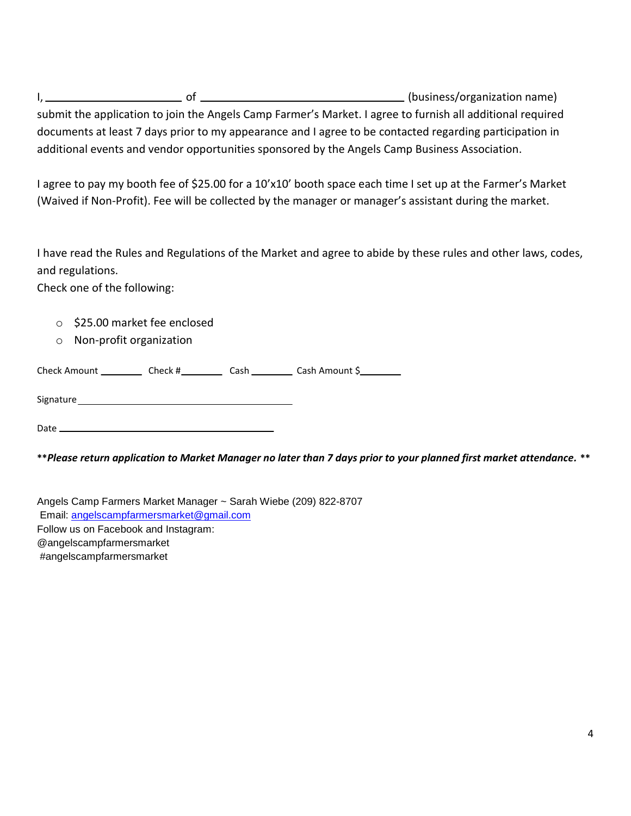I, 1. 2008 (business/organization name) submit the application to join the Angels Camp Farmer's Market. I agree to furnish all additional required documents at least 7 days prior to my appearance and I agree to be contacted regarding participation in additional events and vendor opportunities sponsored by the Angels Camp Business Association.

I agree to pay my booth fee of \$25.00 for a 10'x10' booth space each time I set up at the Farmer's Market (Waived if Non-Profit). Fee will be collected by the manager or manager's assistant during the market.

I have read the Rules and Regulations of the Market and agree to abide by these rules and other laws, codes, and regulations.

Check one of the following:

- o \$25.00 market fee enclosed
- o Non-profit organization

Check Amount \_\_\_\_\_\_\_\_\_\_\_\_ Check #\_\_\_\_\_\_\_\_\_\_\_\_ Cash \_\_\_\_\_\_\_\_\_\_ Cash Amount \$\_\_\_\_\_\_\_\_\_

Signature and the state of the state of the state of the state of the state of the state of the state of the state of the state of the state of the state of the state of the state of the state of the state of the state of

Date

**\*\****Please return application to Market Manager no later than 7 days prior to your planned first market attendance.* **\*\***

Angels Camp Farmers Market Manager ~ Sarah Wiebe (209) 822-8707 Email: [angelscampfarmersmarket@gmail.com](mailto:angelscampfarmersmarket@gmail.com) Follow us on Facebook and Instagram: @angelscampfarmersmarket #angelscampfarmersmarket